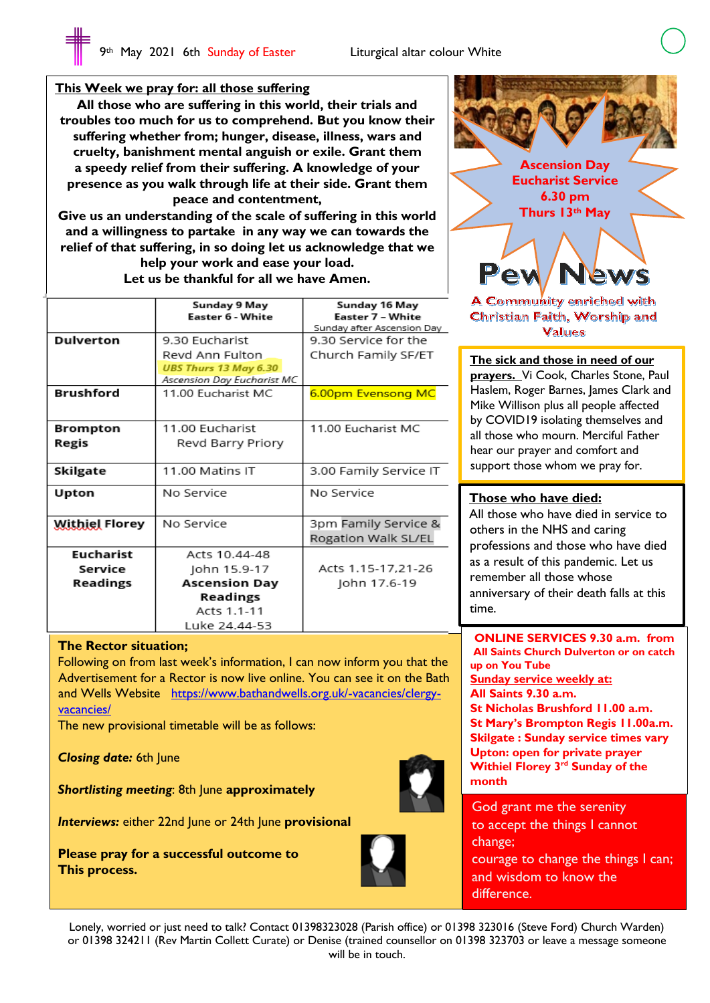# **This Week we pray for: all those suffering**

 $\overline{\phantom{a}}$  $\overline{\phantom{a}}$  $\overline{\phantom{a}}$  $\overline{\phantom{a}}$  $\overline{\phantom{a}}$  $\overline{\phantom{a}}$  $\overline{\phantom{a}}$  $\overline{\phantom{a}}$  $\overline{\phantom{a}}$ 

**All those who are suffering in this world, their trials and troubles too much for us to comprehend. But you know their suffering whether from; hunger, disease, illness, wars and cruelty, banishment mental anguish or exile. Grant them a speedy relief from their suffering. A knowledge of your presence as you walk through life at their side. Grant them peace and contentment,**

**Give us an understanding of the scale of suffering in this world and a willingness to partake in any way we can towards the relief of that suffering, in so doing let us acknowledge that we help your work and ease your load. Let us be thankful for all we have Amen.**

|                                         | Sunday 9 May<br>Easter 6 - White                                                                  | Sunday 16 May<br>Easter 7 - White<br>Sunday after Ascension Day |
|-----------------------------------------|---------------------------------------------------------------------------------------------------|-----------------------------------------------------------------|
| <b>Dulverton</b>                        | 9.30 Eucharist<br>Revd Ann Fulton<br><b>UBS Thurs 13 May 6.30</b><br>Ascension Day Eucharist MC   | 9.30 Service for the<br>Church Family SF/ET                     |
| <b>Brushford</b>                        | 11.00 Eucharist MC                                                                                | 6.00pm Evensong MC                                              |
| <b>Brompton</b><br>Regis                | 11.00 Fucharist<br>Revd Barry Priory                                                              | 11.00 Eucharist MC                                              |
| Skilgate                                | 11.00 Matins IT                                                                                   | 3.00 Family Service IT                                          |
| Upton                                   | No Service                                                                                        | No Service                                                      |
| <b>Withiel Florey</b>                   | No Service                                                                                        | 3pm Family Service &<br>Rogation Walk SL/EL                     |
| <b>Eucharist</b><br>Service<br>Readings | Acts 10.44-48<br>John 15.9-17<br><b>Ascension Day</b><br>Readings<br>Acts 1.1-11<br>Luke 24.44-53 | Acts 1.15-17.21-26<br>John 17.6-19                              |

#### **The Rector situation;**

Following on from last week's information, I can now inform you that the Advertisement for a Rector is now live online. You can see it on the Bath and Wells Website https://www.bathandwells.org.uk/-vacancies/clergyvacancies/

The new provisional timetable will be as follows:

*Closing date:* 6th June

*Shortlisting meeting*: 8th June **approximately**

*Interviews:* either 22nd June or 24th June **provisional**

**Please pray for a successful outcome to This process.**



God grant me the serenity to accept the things I cannot change; courage to change the things I can; and wisdom to know the difference.

Lonely, worried or just need to talk? Contact 01398323028 (Parish office) or 01398 323016 (Steve Ford) Church Warden) or 01398 324211 (Rev Martin Collett Curate) or Denise (trained counsellor on 01398 323703 or leave a message someone will be in touch.



Christian Faith, Worship and **Values** 

**The sick and those in need of our** 

**prayers.** Vi Cook, Charles Stone, Paul Haslem, Roger Barnes, James Clark and Mike Willison plus all people affected by COVID19 isolating themselves and all those who mourn. Merciful Father hear our prayer and comfort and support those whom we pray for.

#### **Those who have died:**

I I I I I

All those who have died in service to others in the NHS and caring professions and those who have died as a result of this pandemic. Let us remember all those whose anniversary of their death falls at this time.

**ONLINE SERVICES 9.30 a.m. from All Saints Church Dulverton or on catch up on You Tube Sunday service weekly at: All Saints 9.30 a.m. St Nicholas Brushford 11.00 a.m. St Mary's Brompton Regis 11.00a.m. Skilgate : Sunday service times vary Upton: open for private prayer Withiel Florey 3rd Sunday of the month**